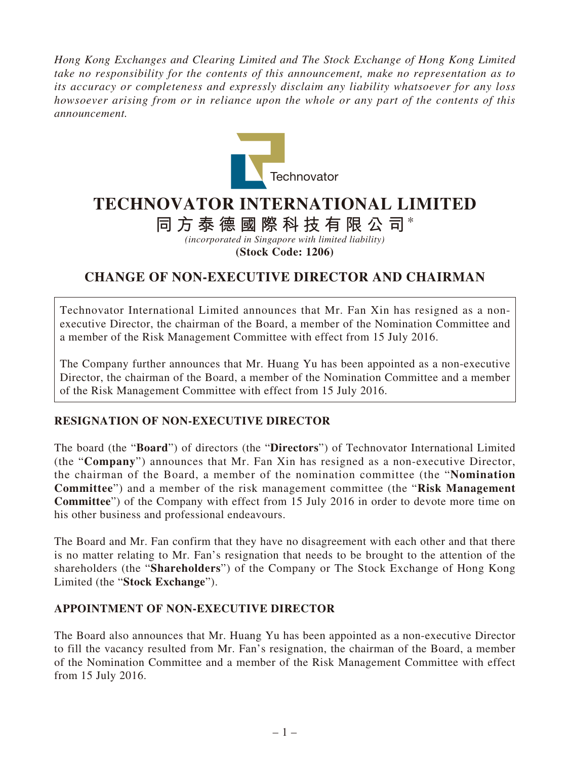*Hong Kong Exchanges and Clearing Limited and The Stock Exchange of Hong Kong Limited take no responsibility for the contents of this announcement, make no representation as to its accuracy or completeness and expressly disclaim any liability whatsoever for any loss howsoever arising from or in reliance upon the whole or any part of the contents of this announcement.*



# **TECHNOVATOR INTERNATIONAL LIMITED**

## **同方泰德國際科技有限公司**\*

*(incorporated in Singapore with limited liability)* **(Stock Code: 1206)**

## **CHANGE OF NON-EXECUTIVE DIRECTOR AND CHAIRMAN**

Technovator International Limited announces that Mr. Fan Xin has resigned as a nonexecutive Director, the chairman of the Board, a member of the Nomination Committee and a member of the Risk Management Committee with effect from 15 July 2016.

The Company further announces that Mr. Huang Yu has been appointed as a non-executive Director, the chairman of the Board, a member of the Nomination Committee and a member of the Risk Management Committee with effect from 15 July 2016.

### **RESIGNATION OF NON-EXECUTIVE DIRECTOR**

The board (the "**Board**") of directors (the "**Directors**") of Technovator International Limited (the "**Company**") announces that Mr. Fan Xin has resigned as a non-executive Director, the chairman of the Board, a member of the nomination committee (the "**Nomination Committee**") and a member of the risk management committee (the "**Risk Management Committee**") of the Company with effect from 15 July 2016 in order to devote more time on his other business and professional endeavours.

The Board and Mr. Fan confirm that they have no disagreement with each other and that there is no matter relating to Mr. Fan's resignation that needs to be brought to the attention of the shareholders (the "**Shareholders**") of the Company or The Stock Exchange of Hong Kong Limited (the "**Stock Exchange**").

### **APPOINTMENT OF NON-EXECUTIVE DIRECTOR**

The Board also announces that Mr. Huang Yu has been appointed as a non-executive Director to fill the vacancy resulted from Mr. Fan's resignation, the chairman of the Board, a member of the Nomination Committee and a member of the Risk Management Committee with effect from 15 July 2016.